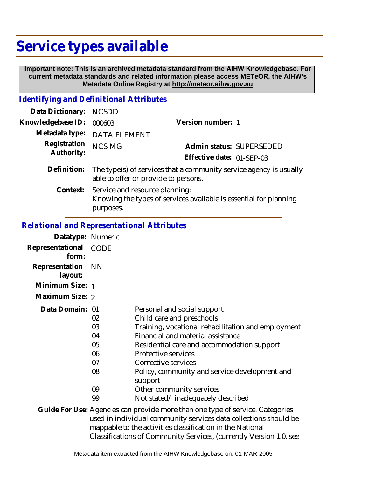## **Service types available**

 **Important note: This is an archived metadata standard from the AIHW Knowledgebase. For current metadata standards and related information please access METeOR, the AIHW's Metadata Online Registry at http://meteor.aihw.gov.au**

## *Identifying and Definitional Attributes*

| Data Dictionary:           | <b>NCSDD</b>                                                                                                              |                           |
|----------------------------|---------------------------------------------------------------------------------------------------------------------------|---------------------------|
| Knowledgebase ID:          | 000603                                                                                                                    | Version number: 1         |
| Metadata type:             | <b>DATA ELEMENT</b>                                                                                                       |                           |
| Registration<br>Authority: | <b>NCSIMG</b>                                                                                                             | Admin status: SUPERSEDED  |
|                            |                                                                                                                           | Effective date: 01-SEP-03 |
| Definition:                | The type(s) of services that a community service agency is usually<br>able to offer or provide to persons.                |                           |
|                            | Context: Service and resource planning:<br>Knowing the types of services available is essential for planning<br>purposes. |                           |

## *Relational and Representational Attributes*

| Datatype: Numeric         |                                        |                                                                                                                                                                                                                                                                                                             |
|---------------------------|----------------------------------------|-------------------------------------------------------------------------------------------------------------------------------------------------------------------------------------------------------------------------------------------------------------------------------------------------------------|
| Representational<br>form: | CODE                                   |                                                                                                                                                                                                                                                                                                             |
| Representation<br>layout: | <b>NN</b>                              |                                                                                                                                                                                                                                                                                                             |
| Minimum Size: 1           |                                        |                                                                                                                                                                                                                                                                                                             |
| Maximum Size: 2           |                                        |                                                                                                                                                                                                                                                                                                             |
| Data Domain: 01           | 02<br>03<br>04<br>05<br>06<br>07<br>08 | Personal and social support<br>Child care and preschools<br>Training, vocational rehabilitation and employment<br>Financial and material assistance<br>Residential care and accommodation support<br>Protective services<br>Corrective services<br>Policy, community and service development and<br>support |
|                           | 09                                     | Other community services                                                                                                                                                                                                                                                                                    |
|                           | 99                                     | Not stated/inadequately described                                                                                                                                                                                                                                                                           |
|                           |                                        | Guide For Use: Agencies can provide more than one type of service. Categories<br>used in individual community services data collections should be<br>mappable to the activities classification in the National                                                                                              |

Classifications of Community Services, (currently Version 1.0, see